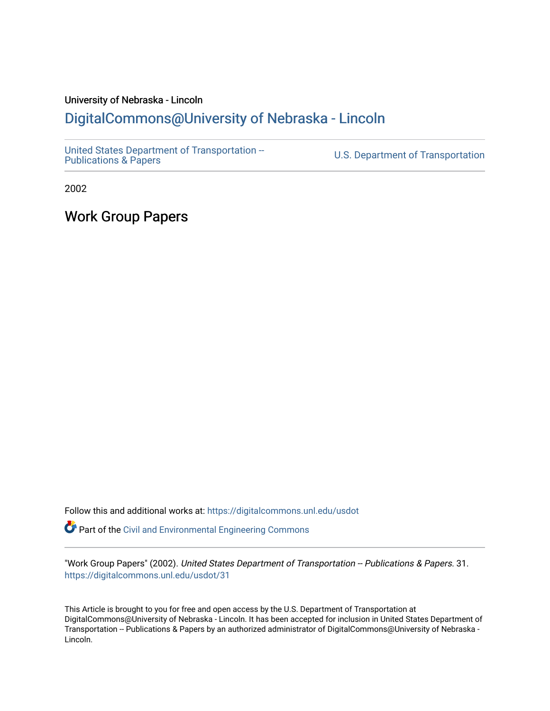## University of Nebraska - Lincoln

## [DigitalCommons@University of Nebraska - Lincoln](https://digitalcommons.unl.edu/)

[United States Department of Transportation --](https://digitalcommons.unl.edu/usdot)<br>Publications & Papers

U.S. Department of Transportation

2002

Work Group Papers

Follow this and additional works at: [https://digitalcommons.unl.edu/usdot](https://digitalcommons.unl.edu/usdot?utm_source=digitalcommons.unl.edu%2Fusdot%2F31&utm_medium=PDF&utm_campaign=PDFCoverPages)  Part of the [Civil and Environmental Engineering Commons](http://network.bepress.com/hgg/discipline/251?utm_source=digitalcommons.unl.edu%2Fusdot%2F31&utm_medium=PDF&utm_campaign=PDFCoverPages)

"Work Group Papers" (2002). United States Department of Transportation -- Publications & Papers. 31. [https://digitalcommons.unl.edu/usdot/31](https://digitalcommons.unl.edu/usdot/31?utm_source=digitalcommons.unl.edu%2Fusdot%2F31&utm_medium=PDF&utm_campaign=PDFCoverPages)

This Article is brought to you for free and open access by the U.S. Department of Transportation at DigitalCommons@University of Nebraska - Lincoln. It has been accepted for inclusion in United States Department of Transportation -- Publications & Papers by an authorized administrator of DigitalCommons@University of Nebraska - Lincoln.